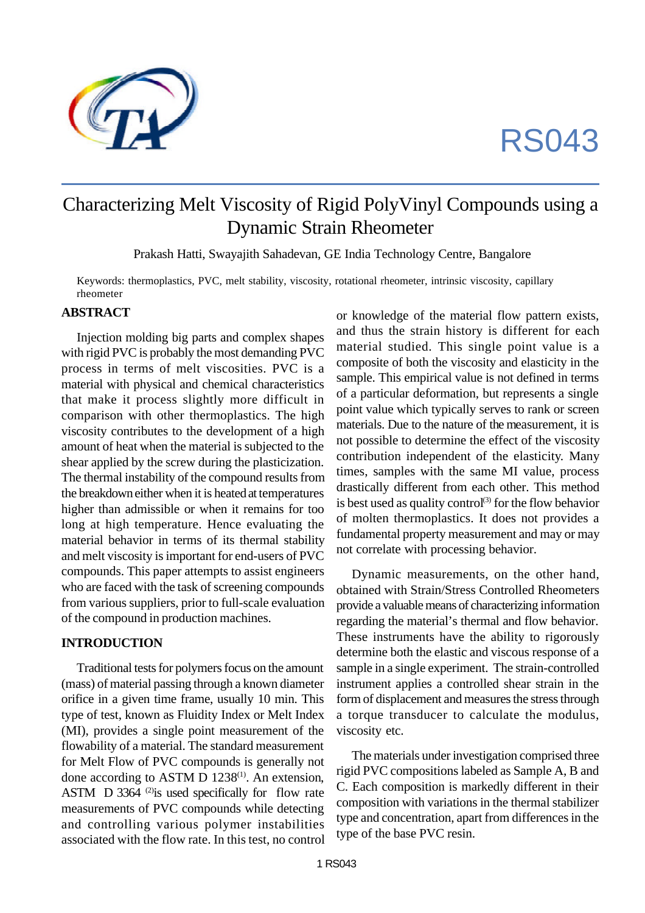

# RS043

## Characterizing Melt Viscosity of Rigid PolyVinyl Compounds using a Dynamic Strain Rheometer

Prakash Hatti, Swayajith Sahadevan, GE India Technology Centre, Bangalore

Keywords: thermoplastics, PVC, melt stability, viscosity, rotational rheometer, intrinsic viscosity, capillary rheometer

#### **ABSTRACT**

Injection molding big parts and complex shapes with rigid PVC is probably the most demanding PVC process in terms of melt viscosities. PVC is a material with physical and chemical characteristics that make it process slightly more difficult in comparison with other thermoplastics. The high viscosity contributes to the development of a high amount of heat when the material is subjected to the shear applied by the screw during the plasticization. The thermal instability of the compound results from the breakdown either when it is heated at temperatures higher than admissible or when it remains for too long at high temperature. Hence evaluating the material behavior in terms of its thermal stability and melt viscosity is important for end-users of PVC compounds. This paper attempts to assist engineers who are faced with the task of screening compounds from various suppliers, prior to full-scale evaluation of the compound in production machines.

#### **INTRODUCTION**

Traditional tests for polymers focus on the amount (mass) of material passing through a known diameter orifice in a given time frame, usually 10 min. This type of test, known as Fluidity Index or Melt Index (MI), provides a single point measurement of the flowability of a material. The standard measurement for Melt Flow of PVC compounds is generally not done according to ASTM D  $1238^{(1)}$ . An extension, ASTM D 3364 $^{(2)}$ is used specifically for flow rate measurements of PVC compounds while detecting and controlling various polymer instabilities associated with the flow rate. In this test, no control

or knowledge of the material flow pattern exists, and thus the strain history is different for each material studied. This single point value is a composite of both the viscosity and elasticity in the sample. This empirical value is not defined in terms of a particular deformation, but represents a single point value which typically serves to rank or screen materials. Due to the nature of the measurement, it is not possible to determine the effect of the viscosity contribution independent of the elasticity. Many times, samples with the same MI value, process drastically different from each other. This method is best used as quality control<sup>(3)</sup> for the flow behavior of molten thermoplastics. It does not provides a fundamental property measurement and may or may not correlate with processing behavior.

Dynamic measurements, on the other hand, obtained with Strain/Stress Controlled Rheometers provide a valuable means of characterizing information regarding the material's thermal and flow behavior. These instruments have the ability to rigorously determine both the elastic and viscous response of a sample in a single experiment. The strain-controlled instrument applies a controlled shear strain in the form of displacement and measures the stress through a torque transducer to calculate the modulus, viscosity etc.

The materials under investigation comprised three rigid PVC compositions labeled as Sample A, B and C. Each composition is markedly different in their composition with variations in the thermal stabilizer type and concentration, apart from differences in the type of the base PVC resin.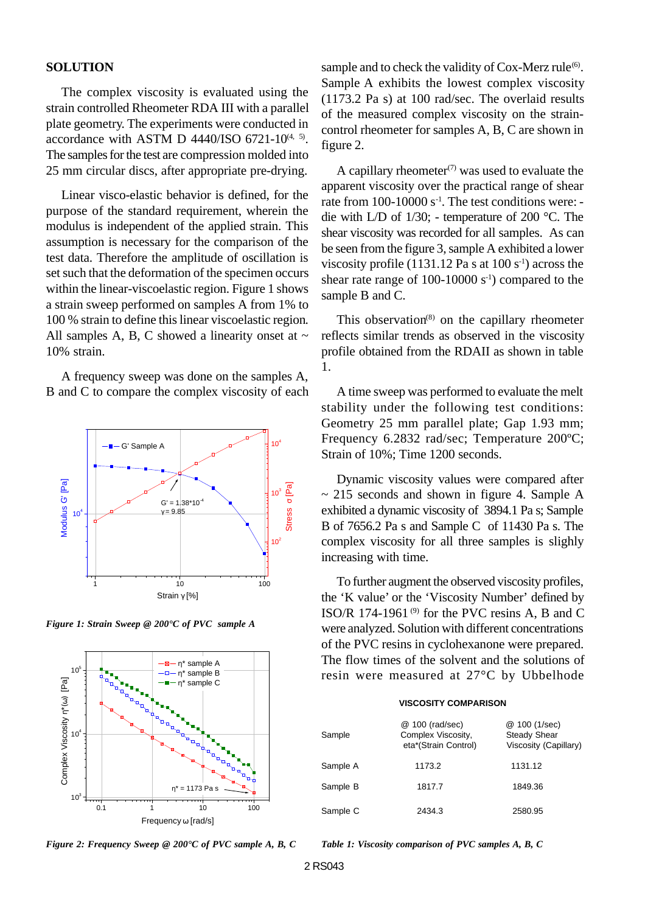#### **SOLUTION**

The complex viscosity is evaluated using the strain controlled Rheometer RDA III with a parallel plate geometry. The experiments were conducted in accordance with ASTM D  $4440$ /ISO 6721-10<sup> $(4, 5)$ </sup>. The samples for the test are compression molded into 25 mm circular discs, after appropriate pre-drying.

Linear visco-elastic behavior is defined, for the purpose of the standard requirement, wherein the modulus is independent of the applied strain. This assumption is necessary for the comparison of the test data. Therefore the amplitude of oscillation is set such that the deformation of the specimen occurs within the linear-viscoelastic region. Figure 1 shows a strain sweep performed on samples A from 1% to 100 % strain to define this linear viscoelastic region. All samples A, B, C showed a linearity onset at  $\sim$ 10% strain.

A frequency sweep was done on the samples A, B and C to compare the complex viscosity of each



*Figure 1: Strain Sweep @ 200°C of PVC sample A*



*Figure 2: Frequency Sweep @ 200°C of PVC sample A, B, C*

sample and to check the validity of Cox-Merz rule<sup>(6)</sup>. Sample A exhibits the lowest complex viscosity (1173.2 Pa s) at 100 rad/sec. The overlaid results of the measured complex viscosity on the straincontrol rheometer for samples A, B, C are shown in figure 2.

A capillary rheometer<sup>(7)</sup> was used to evaluate the apparent viscosity over the practical range of shear rate from  $100-10000$  s<sup>-1</sup>. The test conditions were: die with L/D of 1/30; - temperature of 200 °C. The shear viscosity was recorded for all samples. As can be seen from the figure 3, sample A exhibited a lower viscosity profile (1131.12 Pa s at  $100 s<sup>-1</sup>$ ) across the shear rate range of 100-10000  $s^{-1}$ ) compared to the sample B and C.

This observation<sup> $(8)$ </sup> on the capillary rheometer reflects similar trends as observed in the viscosity profile obtained from the RDAII as shown in table 1.

A time sweep was performed to evaluate the melt stability under the following test conditions: Geometry 25 mm parallel plate; Gap 1.93 mm; Frequency 6.2832 rad/sec; Temperature 200ºC; Strain of 10%; Time 1200 seconds.

Dynamic viscosity values were compared after  $\sim$  215 seconds and shown in figure 4. Sample A exhibited a dynamic viscosity of 3894.1 Pa s; Sample B of 7656.2 Pa s and Sample C of 11430 Pa s. The complex viscosity for all three samples is slighly increasing with time.

To further augment the observed viscosity profiles, the 'K value' or the 'Viscosity Number' defined by ISO/R 174-1961 $^{(9)}$  for the PVC resins A, B and C were analyzed. Solution with different concentrations of the PVC resins in cyclohexanone were prepared. The flow times of the solvent and the solutions of resin were measured at 27°C by Ubbelhode

#### **VISCOSITY COMPARISON**

| Sample   | @ 100 (rad/sec)<br>Complex Viscosity,<br>eta*(Strain Control) | @ 100 (1/sec)<br><b>Steady Shear</b><br>Viscosity (Capillary) |
|----------|---------------------------------------------------------------|---------------------------------------------------------------|
| Sample A | 1173.2                                                        | 1131.12                                                       |
| Sample B | 1817.7                                                        | 1849.36                                                       |
| Sample C | 2434.3                                                        | 2580.95                                                       |

*Table 1: Viscosity comparison of PVC samples A, B, C*